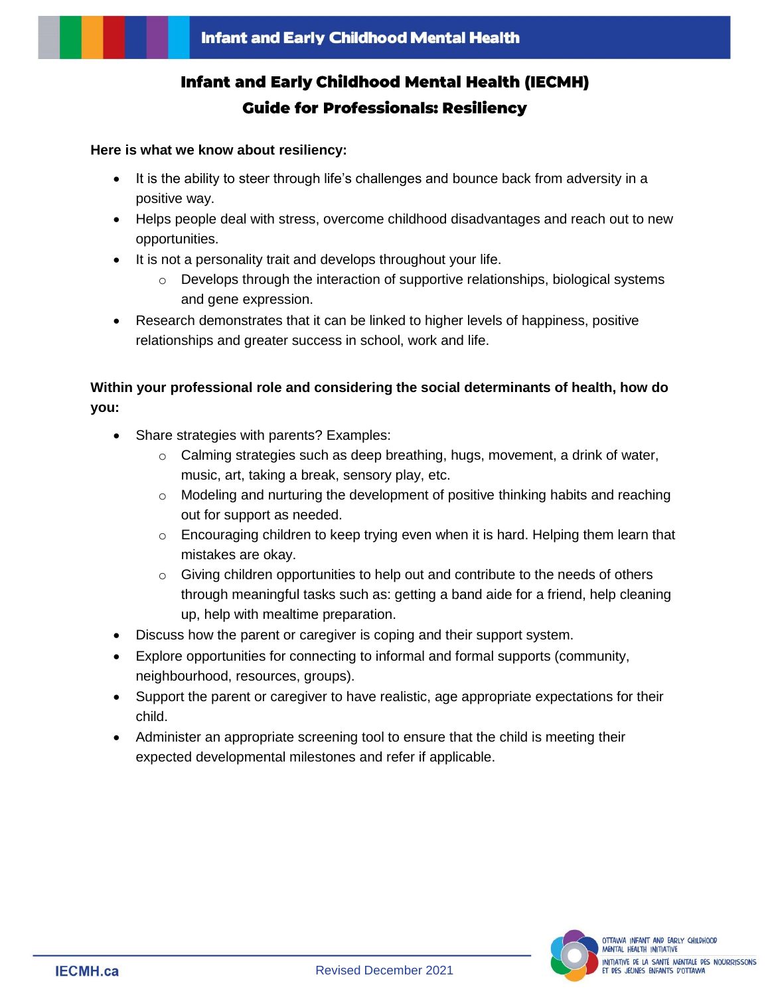# **Infant and Early Childhood Mental Health (IECMH) Guide for Professionals: Resiliency**

#### **Here is what we know about resiliency:**

- It is the ability to steer through life's challenges and bounce back from adversity in a positive way.
- Helps people deal with stress, overcome childhood disadvantages and reach out to new opportunities.
- It is not a personality trait and develops throughout your life.
	- $\circ$  Develops through the interaction of supportive relationships, biological systems and gene expression.
- Research demonstrates that it can be linked to higher levels of happiness, positive relationships and greater success in school, work and life.

## **Within your professional role and considering the social determinants of health, how do you:**

- Share strategies with parents? Examples:
	- o Calming strategies such as deep breathing, hugs, movement, a drink of water, music, art, taking a break, sensory play, etc.
	- o Modeling and nurturing the development of positive thinking habits and reaching out for support as needed.
	- $\circ$  Encouraging children to keep trying even when it is hard. Helping them learn that mistakes are okay.
	- $\circ$  Giving children opportunities to help out and contribute to the needs of others through meaningful tasks such as: getting a band aide for a friend, help cleaning up, help with mealtime preparation.
- Discuss how the parent or caregiver is coping and their support system.
- Explore opportunities for connecting to informal and formal supports (community, neighbourhood, resources, groups).
- Support the parent or caregiver to have realistic, age appropriate expectations for their child.
- Administer an appropriate screening tool to ensure that the child is meeting their expected developmental milestones and refer if applicable.